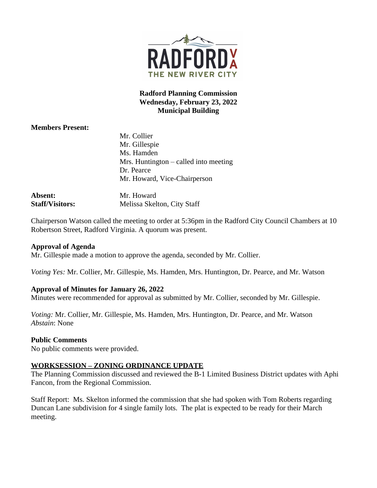

## **Radford Planning Commission Wednesday, February 23, 2022 Municipal Building**

# **Members Present:**

|                        | Mr. Collier                             |
|------------------------|-----------------------------------------|
|                        | Mr. Gillespie                           |
|                        | Ms. Hamden                              |
|                        | Mrs. Huntington $-$ called into meeting |
|                        | Dr. Pearce                              |
|                        | Mr. Howard, Vice-Chairperson            |
| Absent:                | Mr. Howard                              |
| <b>Staff/Visitors:</b> | Melissa Skelton, City Staff             |

Chairperson Watson called the meeting to order at 5:36pm in the Radford City Council Chambers at 10 Robertson Street, Radford Virginia. A quorum was present.

#### **Approval of Agenda**

Mr. Gillespie made a motion to approve the agenda, seconded by Mr. Collier.

*Voting Yes:* Mr. Collier, Mr. Gillespie, Ms. Hamden, Mrs. Huntington, Dr. Pearce, and Mr. Watson

## **Approval of Minutes for January 26, 2022**

Minutes were recommended for approval as submitted by Mr. Collier, seconded by Mr. Gillespie.

*Voting:* Mr. Collier, Mr. Gillespie, Ms. Hamden, Mrs. Huntington, Dr. Pearce, and Mr. Watson *Abstain*: None

## **Public Comments**

No public comments were provided.

## **WORKSESSION – ZONING ORDINANCE UPDATE**

The Planning Commission discussed and reviewed the B-1 Limited Business District updates with Aphi Fancon, from the Regional Commission.

Staff Report: Ms. Skelton informed the commission that she had spoken with Tom Roberts regarding Duncan Lane subdivision for 4 single family lots. The plat is expected to be ready for their March meeting.